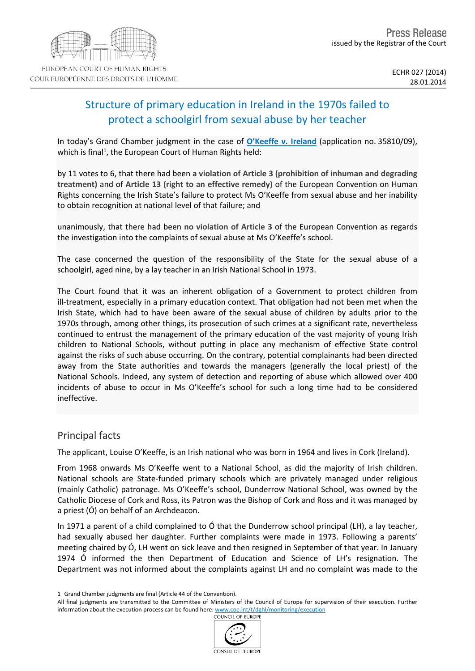# Structure of primary education in Ireland in the 1970s failed to protect a schoolgirl from sexual abuse by her teacher

In today's Grand Chamber judgment in the case of **[O'Keeffe](http://hudoc.echr.coe.int/sites/eng/pages/search.aspx?i=001-140235) [v.](http://hudoc.echr.coe.int/sites/eng/pages/search.aspx?i=001-140235) [Ireland](http://hudoc.echr.coe.int/sites/eng/pages/search.aspx?i=001-140235)** (application no. 35810/09), which is final<sup>1</sup>, the European Court of Human Rights held:

by 11 votes to 6, that there had been **a violation of Article 3 (prohibition of inhuman and degrading treatment)** and of **Article 13 (right to an effective remedy)** of the European Convention on Human Rights concerning the Irish State's failure to protect Ms O'Keeffe from sexual abuse and her inability to obtain recognition at national level of that failure; and

unanimously, that there had been **no violation of Article 3** of the European Convention as regards the investigation into the complaints of sexual abuse at Ms O'Keeffe's school.

The case concerned the question of the responsibility of the State for the sexual abuse of a schoolgirl, aged nine, by a lay teacher in an Irish National School in 1973.

The Court found that it was an inherent obligation of a Government to protect children from ill-treatment, especially in a primary education context. That obligation had not been met when the Irish State, which had to have been aware of the sexual abuse of children by adults prior to the 1970s through, among other things, its prosecution of such crimes at a significant rate, nevertheless continued to entrust the management of the primary education of the vast majority of young Irish children to National Schools, without putting in place any mechanism of effective State control against the risks of such abuse occurring. On the contrary, potential complainants had been directed away from the State authorities and towards the managers (generally the local priest) of the National Schools. Indeed, any system of detection and reporting of abuse which allowed over 400 incidents of abuse to occur in Ms O'Keeffe's school for such a long time had to be considered ineffective.

# Principal facts

The applicant, Louise O'Keeffe, is an Irish national who was born in 1964 and lives in Cork (Ireland).

From 1968 onwards Ms O'Keeffe went to a National School, as did the majority of Irish children. National schools are State-funded primary schools which are privately managed under religious (mainly Catholic) patronage. Ms O'Keeffe's school, Dunderrow National School, was owned by the Catholic Diocese of Cork and Ross, its Patron was the Bishop of Cork and Ross and it was managed by a priest (Ó) on behalf of an Archdeacon.

In 1971 a parent of a child complained to Ó that the Dunderrow school principal (LH), a lay teacher, had sexually abused her daughter. Further complaints were made in 1973. Following a parents' meeting chaired by Ó, LH went on sick leave and then resigned in September of that year. In January 1974 Ó informed the then Department of Education and Science of LH's resignation. The Department was not informed about the complaints against LH and no complaint was made to the

All final judgments are transmitted to the Committee of Ministers of the Council of Europe for supervision of their execution. Further information about the execution process can be found here: [www.coe.int/t/dghl/monitoring/execution](http://www.coe.int/t/dghl/monitoring/execution)<br>
COUNCIL OF FUROPE



<sup>1</sup> Grand Chamber judgments are final (Article 44 of the Convention).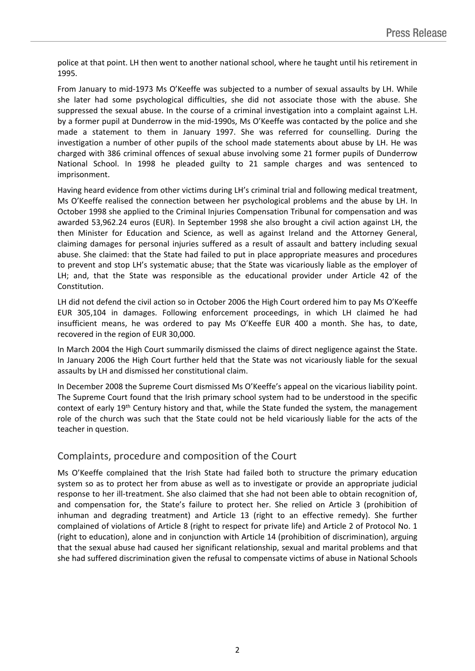police at that point. LH then went to another national school, where he taught until his retirement in 1995.

From January to mid-1973 Ms O'Keeffe was subjected to a number of sexual assaults by LH. While she later had some psychological difficulties, she did not associate those with the abuse. She suppressed the sexual abuse. In the course of a criminal investigation into a complaint against L.H. by a former pupil at Dunderrow in the mid-1990s, Ms O'Keeffe was contacted by the police and she made a statement to them in January 1997. She was referred for counselling. During the investigation a number of other pupils of the school made statements about abuse by LH. He was charged with 386 criminal offences of sexual abuse involving some 21 former pupils of Dunderrow National School. In 1998 he pleaded guilty to 21 sample charges and was sentenced to imprisonment.

Having heard evidence from other victims during LH's criminal trial and following medical treatment, Ms O'Keeffe realised the connection between her psychological problems and the abuse by LH. In October 1998 she applied to the Criminal Injuries Compensation Tribunal for compensation and was awarded 53,962.24 euros (EUR). In September 1998 she also brought a civil action against LH, the then Minister for Education and Science, as well as against Ireland and the Attorney General, claiming damages for personal injuries suffered as a result of assault and battery including sexual abuse. She claimed: that the State had failed to put in place appropriate measures and procedures to prevent and stop LH's systematic abuse; that the State was vicariously liable as the employer of LH; and, that the State was responsible as the educational provider under Article 42 of the Constitution.

LH did not defend the civil action so in October 2006 the High Court ordered him to pay Ms O'Keeffe EUR 305,104 in damages. Following enforcement proceedings, in which LH claimed he had insufficient means, he was ordered to pay Ms O'Keeffe EUR 400 a month. She has, to date, recovered in the region of EUR 30,000.

In March 2004 the High Court summarily dismissed the claims of direct negligence against the State. In January 2006 the High Court further held that the State was not vicariously liable for the sexual assaults by LH and dismissed her constitutional claim.

In December 2008 the Supreme Court dismissed Ms O'Keeffe's appeal on the vicarious liability point. The Supreme Court found that the Irish primary school system had to be understood in the specific context of early 19<sup>th</sup> Century history and that, while the State funded the system, the management role of the church was such that the State could not be held vicariously liable for the acts of the teacher in question.

# Complaints, procedure and composition of the Court

Ms O'Keeffe complained that the Irish State had failed both to structure the primary education system so as to protect her from abuse as well as to investigate or provide an appropriate judicial response to her ill-treatment. She also claimed that she had not been able to obtain recognition of, and compensation for, the State's failure to protect her. She relied on Article 3 (prohibition of inhuman and degrading treatment) and Article 13 (right to an effective remedy). She further complained of violations of Article 8 (right to respect for private life) and Article 2 of Protocol No. 1 (right to education), alone and in conjunction with Article 14 (prohibition of discrimination), arguing that the sexual abuse had caused her significant relationship, sexual and marital problems and that she had suffered discrimination given the refusal to compensate victims of abuse in National Schools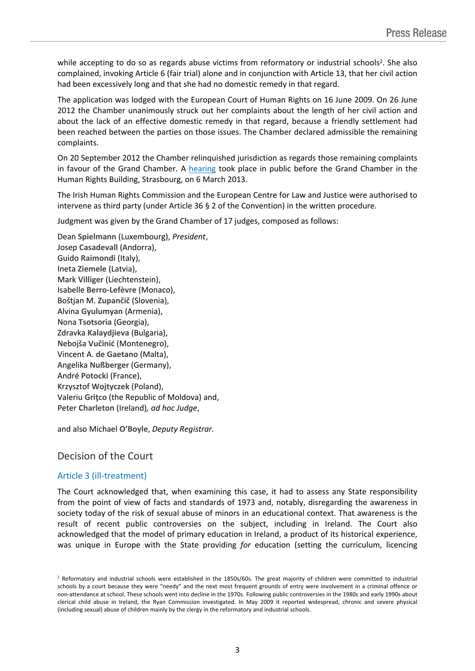while accepting to do so as regards abuse victims from reformatory or industrial schools<sup>2</sup>. She also complained, invoking Article 6 (fair trial) alone and in conjunction with Article 13, that her civil action had been excessively long and that she had no domestic remedy in that regard.

The application was lodged with the European Court of Human Rights on 16 June 2009. On 26 June 2012 the Chamber unanimously struck out her complaints about the length of her civil action and about the lack of an effective domestic remedy in that regard, because a friendly settlement had been reached between the parties on those issues. The Chamber declared admissible the remaining complaints.

On 20 September 2012 the Chamber relinquished jurisdiction as regards those remaining complaints in favour of the Grand Chamber. A [hearing](http://hudoc.echr.coe.int/sites/fra-press/pages/search.aspx?i=003-4280917-5109350) took place in public before the Grand Chamber in the Human Rights Building, Strasbourg, on 6 March 2013.

The Irish Human Rights Commission and the European Centre for Law and Justice were authorised to intervene as third party (under Article 36 § 2 of the Convention) in the written procedure.

Judgment was given by the Grand Chamber of 17 judges, composed as follows:

Dean **Spielmann** (Luxembourg), *President*, Josep **Casadevall** (Andorra), Guido **Raimondi** (Italy), Ineta **Ziemele** (Latvia), Mark **Villiger** (Liechtenstein), Isabelle **Berro-Lefèvre** (Monaco), Boštjan M. **Zupančič** (Slovenia), Alvina **Gyulumyan** (Armenia), Nona **Tsotsoria** (Georgia), Zdravka **Kalaydjieva** (Bulgaria), Nebojša **Vučinić** (Montenegro), Vincent A. **de Gaetano** (Malta), Angelika **Nußberger** (Germany), André **Potocki** (France), Krzysztof **Wojtyczek** (Poland), Valeriu **Griţco** (the Republic of Moldova) and, Peter **Charleton** (Ireland)*, ad hoc Judge*,

and also Michael **O'Boyle**, *Deputy Registrar.*

# Decision of the Court

# Article 3 (ill-treatment)

The Court acknowledged that, when examining this case, it had to assess any State responsibility from the point of view of facts and standards of 1973 and, notably, disregarding the awareness in society today of the risk of sexual abuse of minors in an educational context. That awareness is the result of recent public controversies on the subject, including in Ireland. The Court also acknowledged that the model of primary education in Ireland, a product of its historical experience, was unique in Europe with the State providing *for* education (setting the curriculum, licencing

<sup>&</sup>lt;sup>2</sup> Reformatory and industrial schools were established in the 1850s/60s. The great majority of children were committed to industrial schools by a court because they were "needy" and the next most frequent grounds of entry were involvement in a criminal offence or non-attendance at school. These schools went into decline in the 1970s. Following public controversies in the 1980s and early 1990s about clerical child abuse in Ireland, the Ryan Commission investigated. In May 2009 it reported widespread, chronic and severe physical (including sexual) abuse of children mainly by the clergy in the reformatory and industrial schools.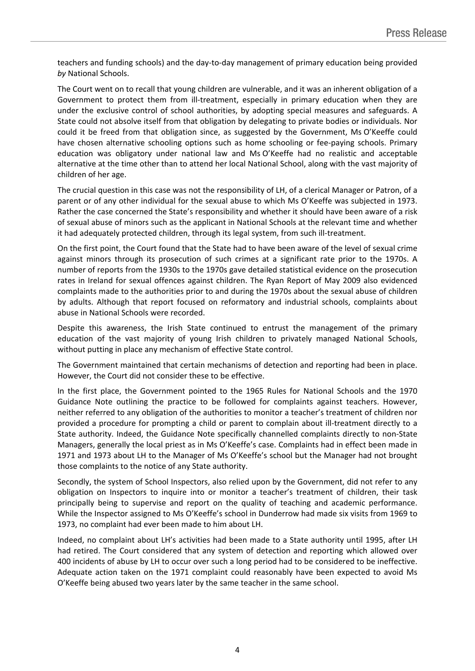teachers and funding schools) and the day-to-day management of primary education being provided *by* National Schools.

The Court went on to recall that young children are vulnerable, and it was an inherent obligation of a Government to protect them from ill-treatment, especially in primary education when they are under the exclusive control of school authorities, by adopting special measures and safeguards. A State could not absolve itself from that obligation by delegating to private bodies or individuals. Nor could it be freed from that obligation since, as suggested by the Government, Ms O'Keeffe could have chosen alternative schooling options such as home schooling or fee-paying schools. Primary education was obligatory under national law and Ms O'Keeffe had no realistic and acceptable alternative at the time other than to attend her local National School, along with the vast majority of children of her age.

The crucial question in this case was not the responsibility of LH, of a clerical Manager or Patron, of a parent or of any other individual for the sexual abuse to which Ms O'Keeffe was subjected in 1973. Rather the case concerned the State's responsibility and whether it should have been aware of a risk of sexual abuse of minors such as the applicant in National Schools at the relevant time and whether it had adequately protected children, through its legal system, from such ill-treatment.

On the first point, the Court found that the State had to have been aware of the level of sexual crime against minors through its prosecution of such crimes at a significant rate prior to the 1970s. A number of reports from the 1930s to the 1970s gave detailed statistical evidence on the prosecution rates in Ireland for sexual offences against children. The Ryan Report of May 2009 also evidenced complaints made to the authorities prior to and during the 1970s about the sexual abuse of children by adults. Although that report focused on reformatory and industrial schools, complaints about abuse in National Schools were recorded.

Despite this awareness, the Irish State continued to entrust the management of the primary education of the vast majority of young Irish children to privately managed National Schools, without putting in place any mechanism of effective State control.

The Government maintained that certain mechanisms of detection and reporting had been in place. However, the Court did not consider these to be effective.

In the first place, the Government pointed to the 1965 Rules for National Schools and the 1970 Guidance Note outlining the practice to be followed for complaints against teachers. However, neither referred to any obligation of the authorities to monitor a teacher's treatment of children nor provided a procedure for prompting a child or parent to complain about ill-treatment directly to a State authority. Indeed, the Guidance Note specifically channelled complaints directly to non-State Managers, generally the local priest as in Ms O'Keeffe's case. Complaints had in effect been made in 1971 and 1973 about LH to the Manager of Ms O'Keeffe's school but the Manager had not brought those complaints to the notice of any State authority.

Secondly, the system of School Inspectors, also relied upon by the Government, did not refer to any obligation on Inspectors to inquire into or monitor a teacher's treatment of children, their task principally being to supervise and report on the quality of teaching and academic performance. While the Inspector assigned to Ms O'Keeffe's school in Dunderrow had made six visits from 1969 to 1973, no complaint had ever been made to him about LH.

Indeed, no complaint about LH's activities had been made to a State authority until 1995, after LH had retired. The Court considered that any system of detection and reporting which allowed over 400 incidents of abuse by LH to occur over such a long period had to be considered to be ineffective. Adequate action taken on the 1971 complaint could reasonably have been expected to avoid Ms O'Keeffe being abused two years later by the same teacher in the same school.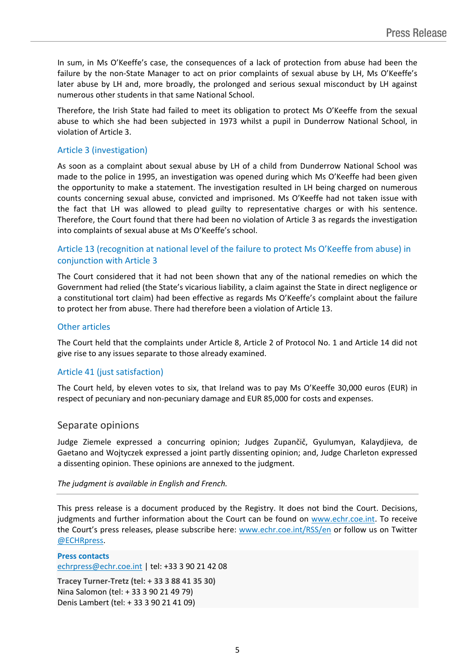In sum, in Ms O'Keeffe's case, the consequences of a lack of protection from abuse had been the failure by the non-State Manager to act on prior complaints of sexual abuse by LH, Ms O'Keeffe's later abuse by LH and, more broadly, the prolonged and serious sexual misconduct by LH against numerous other students in that same National School.

Therefore, the Irish State had failed to meet its obligation to protect Ms O'Keeffe from the sexual abuse to which she had been subjected in 1973 whilst a pupil in Dunderrow National School, in violation of Article 3.

## Article 3 (investigation)

As soon as a complaint about sexual abuse by LH of a child from Dunderrow National School was made to the police in 1995, an investigation was opened during which Ms O'Keeffe had been given the opportunity to make a statement. The investigation resulted in LH being charged on numerous counts concerning sexual abuse, convicted and imprisoned. Ms O'Keeffe had not taken issue with the fact that LH was allowed to plead guilty to representative charges or with his sentence. Therefore, the Court found that there had been no violation of Article 3 as regards the investigation into complaints of sexual abuse at Ms O'Keeffe's school.

## Article 13 (recognition at national level of the failure to protect Ms O'Keeffe from abuse) in conjunction with Article 3

The Court considered that it had not been shown that any of the national remedies on which the Government had relied (the State's vicarious liability, a claim against the State in direct negligence or a constitutional tort claim) had been effective as regards Ms O'Keeffe's complaint about the failure to protect her from abuse. There had therefore been a violation of Article 13.

### Other articles

The Court held that the complaints under Article 8, Article 2 of Protocol No. 1 and Article 14 did not give rise to any issues separate to those already examined.

#### Article 41 (just satisfaction)

The Court held, by eleven votes to six, that Ireland was to pay Ms O'Keeffe 30,000 euros (EUR) in respect of pecuniary and non-pecuniary damage and EUR 85,000 for costs and expenses.

#### Separate opinions

Judge Ziemele expressed a concurring opinion; Judges Zupančič, Gyulumyan, Kalaydjieva, de Gaetano and Wojtyczek expressed a joint partly dissenting opinion; and, Judge Charleton expressed a dissenting opinion. These opinions are annexed to the judgment.

#### *The judgment is available in English and French.*

This press release is a document produced by the Registry. It does not bind the Court. Decisions, judgments and further information about the Court can be found on [www.echr.coe.int](http://www.echr.coe.int/). To receive the Court's press releases, please subscribe here: [www.echr.coe.int/RSS/en](http://www.echr.coe.int/RSS/en) or follow us on Twitter [@ECHRpress.](https://twitter.com/ECHR_Press)

**Press contacts** [echrpress@echr.coe.int](mailto:Echrpress@echr.coe.int) | tel: +33 3 90 21 42 08 **Tracey Turner-Tretz (tel: + 33 3 88 41 35 30)**

Nina Salomon (tel: + 33 3 90 21 49 79) Denis Lambert (tel: + 33 3 90 21 41 09)